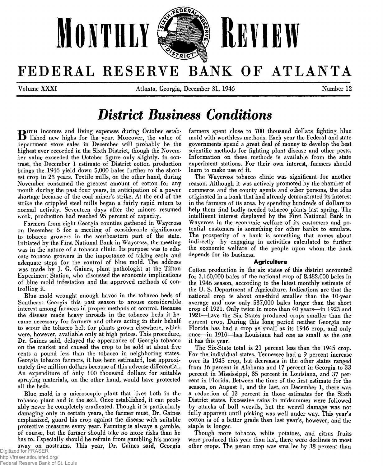

# FEDERAL RESERVE BANK OF ATLANTA

**Volume XXXI Atlanta, Georgia, December 31, 1946 12 Number 12** 

# *District Business Conditions*

**POTH** incomes and living expenses during October estab**lished new highs for the year. Moreover, the value of department store sales in December will probably be the highest ever recorded in the Sixth District, though the November value exceeded the October figure only slightly. In contrast, the December 1 estimate of District cotton production brings the 1946 yield down 5,000 bales further to the shortest crop in 23 years. Textile mills, on the other hand, during November consumed the greatest amount of cotton for any month during the past four years, in anticipation of a power shortage because of the coal miner's strike. At the end of the strike the crippled steel mills began a fairly rapid return to normal activity. Seventeen days after the miners resumed work, production had reached 95 percent of capacity.**

**Farmers from eight Georgia counties gathered in Waycross on December 5 for a meeting of considerable significance to tobacco growers in the southeastern part of the state. Initiated by the First National Bank in Waycross, the meeting was in the nature of a tobacco clinic. Its purpose was to educate tobacco growers in the importance of taking early and adequate steps for the control of blue mold. The address was made by J. G. Gaines, plant pathologist at the Tifton Experiment Station, who discussed the economic implications of blue mold infestation and the approved methods of controlling it.**

**Blue mold wrought enough havoc in the tobacco beds of Southeast Georgia this past season to arouse considerable interest among farmers in proper methods of control. Because the disease made heavy inroads in the tobacco beds it became necessary for farmers and others acting in their behalf to scour the tobacco belt for plants grown elsewhere, which were, however, available only at high prices. This procedure, Dr. Gaines said, delayed the appearance of Georgia tobacco on the market and caused the crop to be sold at about five cents a pound less than the tobacco in neighboring states. Georgia tobacco farmers, it has been estimated, lost approximately five million dollars because of this adverse differential. An expenditure of only 100 thousand dollars for suitable spraying materials, on the other hand, would have protected all the beds.**

**Blue mold is a microscopic plant that lives both in the tobacco plant and in the soil. Once established, it can probably never be completely eradicated. Though it is particularly damaging only in certain years, the farmer must, Dr. Gaines emphasized, guard his crop against the disease with suitable protective measures every year. Farming is always a gamble, of course, but the farmer should take no more risks than he has to. Especially should he refrain from gambling his money away on nostrums. This year, Dr. Gaines said, Georgia**

**farmers spent close to 700 thousand dollars fighting blue mold with worthless methods. Each year the Federal and state governments spend a great deal of money to develop the best scientific methods for fighting plant disease and other pests. Information on these methods is available from the state experiment stations. For their own interest, farmers should learn to make use of it.**

**The Waycross tobacco clinic was significant for another reason. Although it was actively promoted by the chamber of commerce and the county agents and other persons, the idea originated in a bank that had already demonstrated its interest in the farmers of its area, by spending hundreds of dollars to help them find badly needed tobacco plants last spring. The intelligent interest displayed by the First National Bank in Waycross in the economic welfare of its customers and potential customers is something for other banks to emulate. The prosperity of a bank is something that comes about indirectly—by engaging in activities calculated to further the economic welfare of the people upon whom the bank depends for its business.**

#### **Agriculture**

**Cotton production in the six states of this district accounted for 3,160,000 bales of the national crop of 8,482,000 bales in the 1946 season, according to the latest monthly estimate of the U. S. Department of Agriculture. Indications are that the national crop is about one-third smaller than the 10-year average and now only 537,000 bales larger than the short crop of 1921. Only twice in more than 40 years— in 1923 and 1921—have the Six States produced crops smaller than the current crop. During this long period neither Georgia nor Florida has had a crop as small as its 1946 crop, and only once—in 1910— has Louisiana had one as small as the one it has this year.**

**The Six-State total is 21 percent less than the 1945 crop. For the individual states, Tennessee had a 9 percent increase over its 1945 crop, but decreases in the other states ranged from 16 percent in Alabama and 17 percent in Georgia to 33 percent in Mississippi, 35 percent in Louisiana, and 37 percent in Florida. Between the time of the first estimate for the season, on August 1, and the last, on December 1, there was a reduction of 13 percent in those estimates for the Sixth District states. Excessive rains in midsummer were followed by attacks of boll weevils, but the weevil damage was not fully apparent until picking was well under way. This year's cotton is of a better grade than last year's, however, and the staple is longer.**

**Though more tobacco, white potatoes, and citrus fruits were produced this year than last, there were declines in most other crops. The pecan crop was smaller by 38 percent than**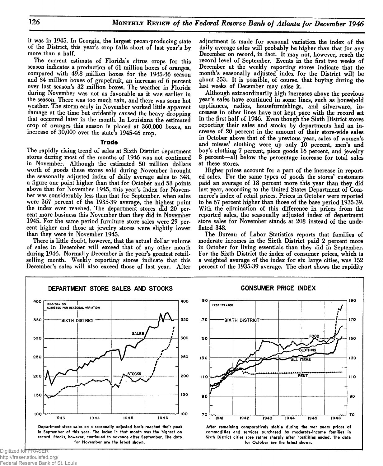**it was in 1945. In Georgia, the largest pecan-producing state of the District, this year's crop falls short of last year's by more than a half.**

**The current estimate of Florida's citrus crops for this season indicates a production of 61 million boxes of oranges, compared with 49.8 million boxes for the 1945-46 season and 34 million boxes of grapefruit, an increase of 6 percent over last season's 32 million boxes. The weather in Florida during November was not as favorable as it was earlier in the season. There was too much rain, and there was some hot weather. The storm early in November worked little apparent damage at the time but evidently caused the heavy dropping that occurred later in the month. In Louisiana the estimated crop of oranges this season is placed at 360,000 boxes, an increase of 30,000 over the state's 1945-46 crop.**

#### **Trade**

**The rapidly rising trend of sales at Sixth District department stores during most of the months of 1946 was not continued in November. Although the estimated 50 million dollars worth of goods these stores sold during November brought the seasonally adjusted index of daily average sales to 348, a figure one point higher than that for October and 58 points above that for November 1945, this year's index for November was considerably less than that for September, when sales were 367 percent of the 1935-39 average, the highest point the index ever reached. The department stores did 20 percent more business this November than they did in November 1945. For the same period furniture store sales were 29 percent higher and those at jewelry stores were slightly lower than they were in November 1945.**

**There is little doubt, however, that the actual dollar volume of sales in December will exceed that of any other month during 1946. Normally December is the year's greatest retailselling month. Weekly reporting stores indicate that this December's sales will also exceed those of last year. After**

**adjustment is made for seasonal variation the index of the daily average sales will probably be higher than that for any December on record, in fact. It may not, however, reach the record level of September. Events in the first two weeks of December at the weekly reporting stores indicate that the month's seasonally adjusted index for the District will be about 353. It is possible, of course, that buying during the last weeks of December may raise it.**

**Although extraordinarily high increases above the previous year's sales have continued in some lines, such as household appliances, radios, housefurnishings, and silverware, increases in other lines have not kept pace with the record set in the first half of 1946. Even though the Sixth District stores reporting their sales and stocks by departments had an increase of 20 percent in the amount of their store-wide sales in October above that of the previous year, sales of women's and misses' clothing were up only 10 percent, men's and boy's clothing 7 percent, piece goods 16 percent, and jewelry 8 percent— all below the percentage increase for total sales at these stores.**

**Higher prices account for a part of the increase in reported sales. For the same types of goods the stores' customers paid an average of 18 percent more this year than they did last year, according to the United States Department of Commerce's index of retail prices. Prices in October were reported to be 67 percent higher than those of the base period 1935-39. With the elimination of this difference in prices from the reported sales, the seasonally adjusted index of department store sales for November stands at 208 instead of the undeflated 348.**

**The Bureau of Labor Statistics reports that families of moderate incomes in the Sixth District paid 2 percent more in October for living essentials than they did in September. For the Sixth District the index of consumer prices, which is a weighted average of the index for six large cities, was 152 percent of the 1935-39 average. The chart shows the rapidity**

**CONSUMER PRICE INDEX**

190

170

150

130

 $110$ 

90

70

1946

00D

GLOTHING

1945

ALL ITEMS

RENT





 $190$ 

 $170$ 

150

130

1935-39 = 100

SIXTH DISTRICT



1944

Digitized for FRASER http://fraser.stlouisfed.org/ Federal Reserve Bank of St. Louis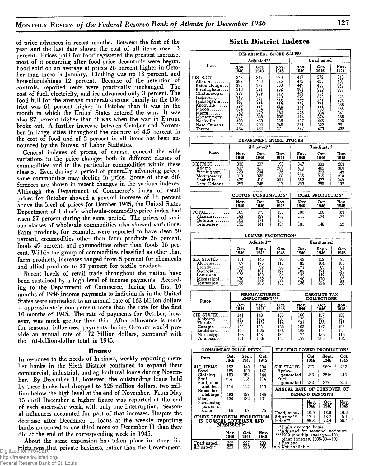**of price advances in recent months. Between the first of the year and the last date shown the cost of all items rose 13 percent. Prices paid for food registered the greatest increase, most of it occurring after food-price decontrols were begun. Food sold on an average at prices 26 percent higher in October than those in January. Clothing was up 13 percent, and housefurnishings 12 percent. Because of the retention of controls, reported rents were practically unchanged. The cost of fuel, electricity, and ice advanced only 3 percent. The food bill for the average moderate-income family in the District was 61 percent higher in October than it was in the month in which the United States entered the war. It was also 87 percent higher than it was when the war in Europe broke out. A further increase between October and November in large cities throughout the country of 4.5 percent in the cost of food and of 2 percent in all items has been announced by the Bureau of Labor Statistics.**

**General indexes of prices, of course, conceal the wide variations in the price changes both in different classes of commodities and in the particular commodities within these classes. Even during a period of generally advancing prices, some commodities may decline in price. Some of these differences are shown in recent changes in the various indexes. Although the Department of Commerce's index of retail prices for October showed a general increase of 18 percent above the level of prices for October 1945, the United States Department of Labor's wholesale-commodity-price index had risen 27 percent during the same period. The prices of various classes of wholesale commodities also showed variations. Farm products, for example, were reported to have risen 30 percent, commodities other than farm products 26 percent, foods 49 percent, and commodities other than foods 16 percent. Within the group of commodities classified as other than farm products, increases ranged from 5 percent for chemicals and allied products to 27 percent for textile products.**

**Recent levels of retail trade throughout the nation have been sustained by a high level of income payments. According to the Department of Commerce, during the first 10 months of 1946 income payments to individuals in the United States were equivalent to an annual rate of 163 billion dollars — approximately one percent more than the rate for the first 10 months of 1945. The rate of payments for October, however, was much greater than this. After allowance is made for seasonal influences, payments during October would provide an annual rate of 172 billion dollars, compared with the 161-billion-dollar total in 1945.**

#### **Finance**

**In response to the needs of business, weekly reporting member banks in the Sixth District continued to expand their commercial, industrial, and agricultural loans during November. By December 11, however, the outstanding loans held by these banks had dropped to 326 million dollars, two million below the high level at the end of November. From May 15 until December a higher figure was reported at the end of each successive week, with only one interruption. Seasonal influences accounted for part of that increase. Despite the decrease after December 1, loans at the weekly reporting banks amounted to one third more on December 11 than they did at the end of the corresponding week in 1945.**

**About the same expansion has taken place in other districts now that private business, rather than the Government,** Digitized for FRASER

## **Sixth District Indexes**

| DEPARTMENT STORE SALES*             |      |            |      |      |            |      |  |  |  |  |
|-------------------------------------|------|------------|------|------|------------|------|--|--|--|--|
|                                     |      | Adjusted** |      |      | Unadiusted |      |  |  |  |  |
| Item                                | Nov. | Oct.       | Nov. | Nov. | Oct.       | Nov. |  |  |  |  |
|                                     | 1946 | 1946       | 1945 | 1946 | 1946       | 1945 |  |  |  |  |
| $DISTRICT$                          | 348  | 347        | 290  | 417  | 372        | 348  |  |  |  |  |
| Atlanta                             | 382  | 400        | 325  | 473  | 428        | 403  |  |  |  |  |
| Baton Rouge                         | 395  | 379        | 308  | 447  | 409        | 348  |  |  |  |  |
| Birmingham                          | 318  | 321        | 282  | 381  | 350        | 339  |  |  |  |  |
| Chattanooga                         | 388  | 369        | 296  | 442  | 387        | 338  |  |  |  |  |
| ackson                              | 316  | 325        | 273  | 379  | 373        | 328  |  |  |  |  |
| facksonville                        | 423  | 431        | 355  | 507  | 461        | 426  |  |  |  |  |
| .<br>Knoxville………                   | 335  | 307        | 312  | 395  | 331        | 368  |  |  |  |  |
| Macon                               | 334  | 334        | 290  | 421  | 360        | 365  |  |  |  |  |
| Miami. <i>.</i>                     | 349  | 379        | 280  | 425  | 334        | 341  |  |  |  |  |
| Montgomery                          | 337  | 328        | 299  | 414  | 374        | 368  |  |  |  |  |
| $Nashville, \ldots$ .               | 428  | 420        | 338  | 497  | 445        | 392  |  |  |  |  |
| New Orleans                         | 306  | 290        | 246  | 361  | 322        | 291  |  |  |  |  |
| $\mathtt{Tampa.}\ldots\ldots\ldots$ | 464  | 483        | 371  | 547  | 473        | 438  |  |  |  |  |

| DEPARTMENT STORE STOCKS                                                       |                                        |                                                |                                        |                                        |                                        |                                        |  |  |  |  |
|-------------------------------------------------------------------------------|----------------------------------------|------------------------------------------------|----------------------------------------|----------------------------------------|----------------------------------------|----------------------------------------|--|--|--|--|
|                                                                               |                                        | Adjusted**                                     |                                        |                                        | Unadjusted                             |                                        |  |  |  |  |
| Place                                                                         | Nov.<br>1946                           | Oct.<br>1946                                   | Nov.<br>1945                           | Nov.<br>1946                           | Oct.<br>1946                           | Nov.<br>1945                           |  |  |  |  |
| $DISTRICT$<br>Atlanta<br>Birmingham<br>Montgomery<br>Nashville<br>New Orleans | 330<br>407<br>229<br>313<br>475<br>259 | 297<br>411<br>$\frac{234}{322}$<br>416<br>2.48 | 193<br>260<br>126<br>183<br>301<br>117 | 347<br>470<br>271<br>365<br>552<br>293 | 333<br>482<br>263<br>365<br>477<br>280 | 203<br>300<br>149<br>213<br>349<br>132 |  |  |  |  |

|                         | <b>COTTON CONSUMPTION*</b> |                   |              | COAL PRODUCTION* |                 |              |
|-------------------------|----------------------------|-------------------|--------------|------------------|-----------------|--------------|
|                         | Nov.<br>1946               | Oct<br>1946       | Nov.<br>1945 | Nov<br>1946      | Oct.<br>1946    | Nov.<br>1945 |
| $TOTAL$<br>Alabama      | 182<br>193<br>183          | 173<br>183<br>171 | 156<br>165   | 108<br>111       | 166<br>174      | 169<br>177   |
| Georgia<br>$T$ ennessee | 132                        | 141               | 155<br>134   | iòi              | $\cdots$<br>148 | 152          |

| Oct.<br>Sept.<br>Oct.<br>1946<br>1945<br>1946 |                                       |                                    |                                       | Sept.<br>1946                             | Oct.<br>1945                              |
|-----------------------------------------------|---------------------------------------|------------------------------------|---------------------------------------|-------------------------------------------|-------------------------------------------|
| 151<br>87<br>174<br>106<br>139<br>170         | 146<br>175<br>92<br>161<br>108<br>162 | 96<br>115<br>60<br>129<br>64<br>85 | 142<br>89<br>171<br>109<br>133<br>190 | 152<br>164<br>89<br>171<br>112<br>170     | 95<br>108<br>61<br>126<br>66<br>82<br>156 |
|                                               | 138                                   | 208                                | Adjusted**<br>139                     | LUMBER PRODUCTION*<br>Oct.<br>1946<br>136 | Unadjusted<br>224                         |

| Place        | <b>MANUFACTURING</b><br><b>EMPLOYMENT***</b> |       |      |      | <b>GASOLINE TAX</b><br><b>COLLECTIONS</b> |      |
|--------------|----------------------------------------------|-------|------|------|-------------------------------------------|------|
|              | Oct.                                         | Sept. | Oct. | Nov. | Oct.                                      | Nov. |
|              | 1946                                         | 1946  | 1945 | 1946 | 1946                                      | 1945 |
| SIX STATES   | 141                                          | 140   | 133  | 168  | 157                                       | 132  |
| Alabama      | 149                                          | 146r  | 137  | 179  | 163                                       | 140  |
| $Florida$    | 120                                          | 113r  | 114  | 151  | 133                                       | 118  |
| Georgia.     | 139                                          | 138   | 128  | 163  | 147                                       | 127  |
| Louisiana    | 129                                          | 128r  | 138  | 165  | 144                                       | 129  |
| Mississippi  | 148                                          | 148   | 135  | 174  | 156                                       | 116  |
| $T$ ennessee | 151                                          | 150r  | 141  | 188  | 205                                       | 164  |

| CONSUMERS' PRICE INDEX                                 |                     |               |              | ELECTRIC POWER PRODUCTION*                                        |              |               |              |  |
|--------------------------------------------------------|---------------------|---------------|--------------|-------------------------------------------------------------------|--------------|---------------|--------------|--|
| Item                                                   | Oct.<br>1946        | Sept.<br>1946 | Oct.<br>1945 |                                                                   | Oct.<br>1946 | Sept.<br>1946 | Oct.<br>1945 |  |
| ALL ITEMS. .<br>$Food. \ldots$                         | 152<br>185          | 149<br>180    | 134<br>147   | SIX STATES.<br>Hydro-                                             | 276          | 269г          | 232          |  |
| Clothing<br>Rent                                       | 163<br>n.a.         | 162<br>115    | 144<br>114   | generated<br>Fuel-                                                | 263          | 261r          | 213          |  |
| Fuel, elec.                                            |                     |               |              | <b>generated</b>                                                  | 293          | 279           | 256          |  |
| and ice.<br>Home fur-                                  | 114                 | 114           | 110          | ANNUAL RATE OF TURNOVER OF                                        |              |               |              |  |
| nishings.                                              | 163                 | 158           | 145          | <b>DEMAND DEPOSITS</b>                                            |              |               |              |  |
| $Misc. \ldots$<br>Purchasing<br>power of               | 134                 | 132           | 131          |                                                                   | Nov.<br>1946 | Oct.<br>1946  | Nov.<br>1945 |  |
| dollarI                                                | .66                 | .67           | .75          | Unadjusted                                                        | 19.0         | 18.9          | 16.0         |  |
| CRUDE PETROLEUM PRODUCTION<br>IN COASTAL LOUISIANA AND |                     |               |              | Adiusted**!<br>$Index^{\ast \ast }$                               | 17.9<br>69.3 | 18.7<br>72.4  | 15.1<br>58.4 |  |
|                                                        | <b>MISSISSIPPI*</b> |               |              | *Daily average basis                                              |              |               |              |  |
|                                                        | Nov.<br>1946        | Oct.<br>1946  | Nov.<br>1945 | **Adjusted for seasonal variation<br>***1939 monthly average=100; |              |               |              |  |
| Unadjusted. .<br>Adiusted**…l                          | 232<br>229          | 227<br>228    | 208<br>205   | other indexes, 1935-39-100<br>r Revised<br>n.a.Not available      |              |               |              |  |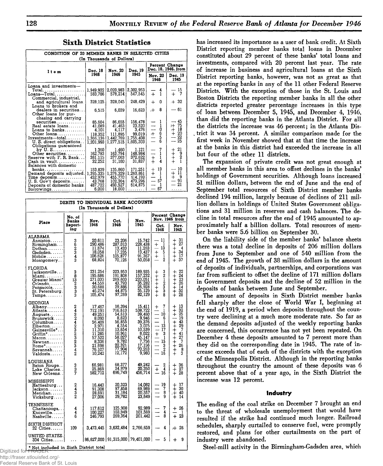**but four of the other 11 districts.**

|                                                                                                                                                            | CONDITION OF 20 MEMBER BANKS IN SELECTED CITIES<br>(In Thousands of Dollars) |                                                                 |                                                                |                                                   |                                                  |  |  |  |  |
|------------------------------------------------------------------------------------------------------------------------------------------------------------|------------------------------------------------------------------------------|-----------------------------------------------------------------|----------------------------------------------------------------|---------------------------------------------------|--------------------------------------------------|--|--|--|--|
| Item                                                                                                                                                       | Dec. 18                                                                      | Nov. 20                                                         | Dec. 19                                                        |                                                   | Percent Change<br>Dec. 18, 1946, from            |  |  |  |  |
|                                                                                                                                                            | 1946                                                                         | 1946                                                            | 1945                                                           | Nov. 20<br>1946                                   | Dec. 19<br>1945                                  |  |  |  |  |
| Loans and investments-<br>$Total$<br>$\texttt{Loans—Total}$                                                                                                | 1.949,922<br>583,786                                                         | 578,214                                                         | 2,020,983 2,302,953<br>547.545                                 | 4<br>$+$<br>1                                     | 15<br>$\frac{1}{+}$<br>7                         |  |  |  |  |
| Commercial, industrial,<br>and agricultural loans.<br>Loans to brokers and                                                                                 | 328,125                                                                      | 328,045                                                         | 248,429                                                        | n<br>4                                            | $+32$                                            |  |  |  |  |
| dealers in securities<br>Other loans for pur-                                                                                                              | 6,515                                                                        | 6,039                                                           | 16,623                                                         | 8<br>$+$                                          | — 61                                             |  |  |  |  |
| chasing and carrying<br>securities<br>$Real$ estate $loans$<br>Loans to banks<br>Other loans<br>U.S. direct obligations.                                   | 85.604<br>41,089<br>4.101<br>118,352<br>1,366,136<br>1,201,993               | 86,655<br>41,463<br>4.117<br>111,895<br>1,442,769<br>1.277.515  | 156,478<br>23,520<br>3,476<br>99,019<br>1,755,408<br>1,605,303 | 1<br>1<br>0<br>6<br>5<br>6<br>$+$<br>È            | - 45<br>H 75<br>$+18$<br>$+20$<br>$-22$<br>$-25$ |  |  |  |  |
| Obligations guaranteed<br>by $U. S. \ldots \ldots \ldots \ldots$<br>Other securities<br>Reserve with F. R. Bank<br>Cash in vault<br>Balances with domestic | 1,360<br>162,783<br>381,115<br>32.252                                        | 1,460<br>163,794<br>377,063<br>31,100                           | 1,121<br>148.984<br>372,622<br>31,837                          | 7<br>$\equiv$<br>ī<br>$\ddagger$<br>$\frac{1}{4}$ | 21<br>$+ +$<br>$+ +$<br>$\frac{9}{2}$            |  |  |  |  |
| banks.<br>Demand deposits adjusted.<br>$Time \text{ deposits} \dots \dots \dots$<br>U. S. Gov't deposits<br>Deposits of domestic banks.<br>Borrowings      | 153.839<br>1,395,335<br>452,979<br>43.768<br>487,722<br>6,000                | 135,860<br>1,376,329<br>455.770<br>102,304<br>493.527<br>18.000 | 171.251<br>1,260,861<br>414,193<br>473.296<br>614,875<br>.     | 13<br>$+13$<br>$+1$<br>$-1$<br>$-57$<br>ı<br>67   | 10<br>$\ddagger$<br>11<br>9<br>— 91<br>— 21<br>. |  |  |  |  |

|                                                                                                                                                                 |                                | <b>DEBITS TO INDIVIDUAL BANK ACCOUNTS</b><br>(In Thousands of Dollars)                                                                 |                                                                                                                              |                                                                                                                                           |                                                                                                                                                    |                                                                                                                                                     |
|-----------------------------------------------------------------------------------------------------------------------------------------------------------------|--------------------------------|----------------------------------------------------------------------------------------------------------------------------------------|------------------------------------------------------------------------------------------------------------------------------|-------------------------------------------------------------------------------------------------------------------------------------------|----------------------------------------------------------------------------------------------------------------------------------------------------|-----------------------------------------------------------------------------------------------------------------------------------------------------|
| Place                                                                                                                                                           | No, of<br><b>Banks</b>         | Nov.                                                                                                                                   | Oct.                                                                                                                         | Nov.                                                                                                                                      | Percent Change                                                                                                                                     | Nov. 1946 from                                                                                                                                      |
|                                                                                                                                                                 | Report-<br>ing                 | 1946                                                                                                                                   | 1946                                                                                                                         | 1945                                                                                                                                      | Oct.<br>1946                                                                                                                                       | Nov.<br>1945                                                                                                                                        |
| ALABAMA<br>Anniston<br>Birmingham<br>Dothan.<br>$G$ adsden. $\ldots$<br>Mobile<br>Montgomery                                                                    | 362343                         | 20,611<br>290,486<br>11,674<br>18,058<br>106,626<br>68.824                                                                             | 23,206<br>287,013<br>13,433<br>17,235<br>105,877<br>70,126                                                                   | 15,742<br>228,438<br>11,263<br>13,437<br>91,367<br>50,058                                                                                 | 11<br>1<br>$\ddag$<br>13<br>$\frac{1}{+}$<br>$\frac{5}{1}$<br>$\dot{+}$<br>2                                                                       | 31<br>$\ddagger$<br>27<br>$\frac{+}{+}$<br>- 4<br>34<br>17<br>$\ddagger$<br>37                                                                      |
| FLORIDA<br>Jacksonville<br>Miami<br>Greater Miami*<br>Orlando<br>Pensacola<br>St. Petersburg.<br>Tampa                                                          | ವಿ ಸುವಿಹು                      | 231,254<br>195,686<br>271,033<br>44,559<br>30,688<br>46,274<br>105,474                                                                 | 223,953<br>191,808<br>269,603<br>43,793<br>29,886<br>44,875<br>97,269                                                        | 189,935<br>157,232<br>220,051<br>35,282<br>26,928<br>35,129<br>82,129                                                                     | 3212338<br>+++++++                                                                                                                                 | $+22$<br>24<br>$^{+}$<br>÷<br>$\frac{23}{26}$<br>$\ddotplus$<br>$+$<br>$+$<br>14<br>32<br>$\bar{2}\bar{8}$                                          |
| GEORGIA<br>Albany.<br>Atlanta.<br>Augusta.<br>Brunswick<br>Columbus<br>Elberton<br>Gainesville*<br>Griffin*<br>Macon<br>Newnan<br>Rome*<br>Savannah<br>Valdosta | 2432423232342                  | 17,467<br>712,191<br>49,251<br>8,093<br>56,409<br>$\frac{3}{971}$<br>$\frac{1}{310}$<br>11,285<br>57,522<br>21,698<br>76,107<br>10,242 | 16,394<br>716,613<br>54,613<br>8,623<br>56,855<br>4,554<br>13,654<br>10,961<br>58,027<br>9,782<br>22,321<br>77,904<br>12,172 | 15,411<br>538,722<br>39,460<br>9,946<br>39,376<br>3,075<br>10.539<br>8,022<br>45,147<br>$\frac{7}{7}$ , 756<br>17, 156<br>70.263<br>9.980 | 7<br>$\bm{+}$<br>1<br>$\overline{\phantom{a}}$<br>10<br>6<br>ı<br>$\frac{1}{+}$<br>13<br>17<br>3<br>į<br>15<br>–<br>$\frac{3}{2}$<br>$\frac{2}{6}$ | 13<br>32<br>25<br>┿<br>$\ddagger$<br>19<br>43<br>$\ddagger$<br>$\frac{29}{7}$<br>$+ + + +$<br>41<br>27<br>7<br>26<br>$\frac{1}{+}$<br>$\frac{8}{3}$ |
| LOUISIANA<br>Baton Rouge<br>Lake Charles<br>New Orleans                                                                                                         | 3<br>3<br>7                    | 66,981<br>25,869<br>582,712                                                                                                            | 68,377<br>24,979<br>696.749                                                                                                  | $\begin{array}{c} 49.242 \\ 20.350 \\ 456.714 \end{array}$                                                                                | $\frac{2}{4}$<br>$\ddot{}$<br>16<br>$\overline{\phantom{0}}$                                                                                       | $\frac{36}{27}$<br>+<br>$\ddagger$                                                                                                                  |
| MISSISSIPPI<br>Hattiesburg<br>Jackson<br>Meridian<br>Vicksburg                                                                                                  | $\frac{2}{3}$<br>$\frac{4}{2}$ | 16,443<br>91,308<br>28,691<br>27,006                                                                                                   | 20,323<br>97,858<br>31,184<br>29,782                                                                                         | 14,082<br>69,989<br>20,557<br>23.649                                                                                                      | $\frac{19}{7}$<br>8<br>9                                                                                                                           | $\frac{17}{30}$<br>┾<br>┿<br>$+$<br>40<br>14<br>$\ddot{}$                                                                                           |
| TENNESSEE<br>Chattanooga<br>Knoxville<br>Nashville                                                                                                              | $\frac{4}{6}$                  | 117,612<br>100,227<br>246,793                                                                                                          | 125,908<br>103,949<br>269,364                                                                                                | 92,989<br>101,569<br>201,442                                                                                                              | 7<br>4<br>8                                                                                                                                        | 26<br>┿<br>$2\bar{3}$<br>$\ddot{}$                                                                                                                  |
| SIXTH DISTRICT<br>$32$ Cities                                                                                                                                   | 109                            | 3,473,445                                                                                                                              | 3,632,484                                                                                                                    | 2,766,659                                                                                                                                 | 4                                                                                                                                                  | r 26                                                                                                                                                |
| UNITED STATES.<br>334 Cities                                                                                                                                    | .                              |                                                                                                                                        | 86,627,000   91,315,000   79,401,000                                                                                         |                                                                                                                                           | 5                                                                                                                                                  | 9<br>+                                                                                                                                              |

**\* N ot in clu d e d in Sixth District total** Digitized for FRASER

http://fraser.stlouisfed.org/

Federal Reserve Bank of St. Louis

**has increased its importance as a user of bank credit. At Sixth District reporting member banks total loans in December constituted about 29 percent of these banks' total loans and investments, compared with 20 percent last year. The rate of increase in business and agricultural loans at the Sixth District reporting banks, however, was not as great as that at the reporting banks in any of the 11 other Federal Reserve Districts. With the exception of those in the St. Louis and Boston Districts the reporting member banks in all the other districts reported greater percentage increases in this type of loan between December 5, 1945, and December 4, 1946, than did the reporting banks in the Atlanta District. For all the districts the increase was 46 percent; in the Atlanta District it was 34 percent. A similar comparison made for the first week in November showed that at that time the increase**

**The expansion of private credit was not great enough at all member banks in this area to offset declines in the banks' holdings of Government securities. Although loans increased 51 million dollars, between the end of June and the end of September total resources of Sixth District member banks declined 194 million, largely because of declines of 211 million dollars in holdings of United States Government obligations and 31 million in reserves and cash balances. The decline in total resources after the end of 1945 amounted to approximately half a billion dollars. Total resources of member banks were 5.6 billion on September 30.**

**at the banks in this district had exceeded the increase in all**

**On the liability side of the member banks' balance sheets there was a total decline in deposits of 206 million dollars from June to September and one of 540 million from the end of 1945. The growth of 38 million dollars in the amount of deposits of individuals, partnerships, and corporations was far from sufficient to offset the decline of 171 million dollars in Government deposits and the decline of 52 million in the deposits of banks between June and September.**

**The amount of deposits in Sixth District member banks fell sharply after the close of World War I, beginning at the end of 1919, a period when deposits throughout the country were declining at a much more moderate rate. So far as the demand deposits adjusted of the weekly reporting banks are concerned, this occurrence has not yet been repeated. On December 4 these deposits amounted to 7 percent more than they did on the corresponding date in 1945. The rate of increase exceeds that of each of the districts with the exception of the Minneapolis District. Although in the reporting banks throughout the country the amount of these deposits was 6 percent above that of a year ago, in the Sixth District the increase was 12 percent.**

#### **Industry**

**The ending of the coal strike on December 7 brought an end to the threat of wholesale unemployment that would have resulted if the strike had continued much longer. Railroad schedules, sharply curtailed to conserve fuel, were promptly restored, and plans for other curtailments on the part of industry were abandoned.**

Steel-mill activity in the Birmingham-Gadsden area, which

| <b>Sixth District Statistics</b> |  |
|----------------------------------|--|
|----------------------------------|--|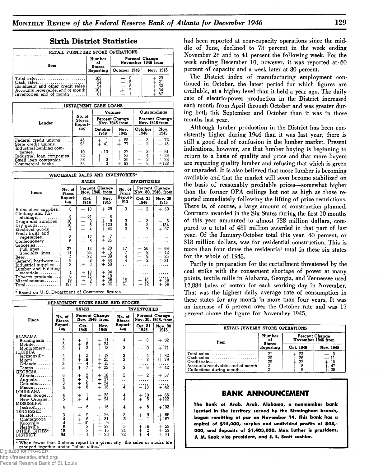| RETAIL FURNITURE STORE OPERATIONS                                                                                                |                               |                                      |                      |
|----------------------------------------------------------------------------------------------------------------------------------|-------------------------------|--------------------------------------|----------------------|
| Item                                                                                                                             | Number<br>оÍ<br><b>Stores</b> | Percent Change<br>November 1946 from |                      |
|                                                                                                                                  | Reporting                     | October 1946                         | Nov. 1945            |
| Total sales<br>Cash sales<br>Instalment and other credit sales<br>Accounts receivable, end of month<br>Inventories, end of month | 102<br>94<br>94<br>101<br>81  |                                      | 29<br>21<br>32<br>34 |

# **Sixth District Statistics**

| <b>INSTALMENT CASH LOANS</b>                                                                       |                                    |                                  |                                           |                                  |                                                                    |  |  |  |  |  |
|----------------------------------------------------------------------------------------------------|------------------------------------|----------------------------------|-------------------------------------------|----------------------------------|--------------------------------------------------------------------|--|--|--|--|--|
|                                                                                                    |                                    | Volume                           |                                           | Outstandings                     |                                                                    |  |  |  |  |  |
| Lender                                                                                             | No. of<br>Stores<br>Report-        | Percent Change<br>Nov. 1946 from |                                           | Percent Change<br>Nov. 1946 from |                                                                    |  |  |  |  |  |
|                                                                                                    | ing                                | October<br>1946                  | Nov.<br>1945                              | October<br>1946                  | Nov.<br>1945                                                       |  |  |  |  |  |
| Federal credit unions<br>State credit unions<br>Industrial banking com-                            | 45<br>25                           | $^{+}_{+}$<br>41                 | $+ 65$<br>+ 77                            | $\frac{3}{2}$<br>$\ddagger$      | $+ 72$<br>$+ 45$                                                   |  |  |  |  |  |
| $panies \ldots  \ldots $<br>Industrial loan companies.<br>Small loan companies<br>Commercial banks | $\frac{10}{22}$<br>$\frac{53}{34}$ | 10<br>$+$<br>ā<br>3              | 27<br>$+$<br>$+$<br>25<br>30<br>$+$<br>93 | $+ +$<br>$\frac{4}{3}$<br>6      | $\begin{array}{c} 61 \\ 29 \\ 38 \end{array}$<br>$\ddagger$<br>128 |  |  |  |  |  |

| WHOLESALE SALES AND INVENTORIES*                                                                                    |                                                            |                                                                                                           |                                                                                    |                                             |                                  |                                        |  |  |  |
|---------------------------------------------------------------------------------------------------------------------|------------------------------------------------------------|-----------------------------------------------------------------------------------------------------------|------------------------------------------------------------------------------------|---------------------------------------------|----------------------------------|----------------------------------------|--|--|--|
|                                                                                                                     |                                                            | <b>SALES</b>                                                                                              |                                                                                    |                                             | <b>INVENTORIES</b>               |                                        |  |  |  |
| Itoms                                                                                                               | No. of<br>Firms                                            | Percent Change<br>Nov. 1946, from                                                                         |                                                                                    | No. of<br>Firms                             |                                  | Percent Change<br>Nov. 30, 1946, from  |  |  |  |
|                                                                                                                     | Report-<br>ing                                             | Oct.<br>1946                                                                                              | Nov.<br>1945                                                                       | Report-<br>ing                              | Oct. 31<br>1946                  | Nov. 30<br>1945                        |  |  |  |
| Automotive supplies.                                                                                                | 6                                                          | $-10$                                                                                                     | $+29$                                                                              | 3                                           | 2                                | $+60$                                  |  |  |  |
| Clothing and fur-<br>$nishing$ s<br>Drugs and sundries.<br>$\text{Dry}$ goods<br>Electrical goods                   | 3<br>$\frac{10}{10}$                                       | 21<br>$=$ $\frac{9}{5}$<br>$=$ 4                                                                          | 8<br>$+$<br>9<br>$+120$<br>$+ 93$                                                  | .<br>Saa                                    | $\frac{3}{5}$<br>$\frac{+}{+}$   | $+ 6$<br>$+134$<br>$+97$               |  |  |  |
| Fresh fruits and<br>vegetables<br>Confectionery                                                                     | $\frac{5}{6}$                                              | 17<br>$^+$<br>8                                                                                           | 7<br>$+$ 35                                                                        | . .<br>$\ddotsc$                            |                                  |                                        |  |  |  |
| Groceries<br>Full lines<br>Specialty lines<br>Beer<br>General hardware<br>Industrial supplies                       | 37<br>$\frac{11}{4}$<br>$\frac{4}{9}$<br>3                 | 13<br>$\overline{\phantom{a}}$<br>$-25$<br>32<br>$\overline{\phantom{0}}$<br>$_{0}^{8}$<br>$\overline{+}$ | 20<br>$\begin{array}{c} + \\ + \end{array}$<br>- 5<br>39<br>$\ddot{+}$<br>44<br>59 | 17<br>$\frac{7}{4}$<br>$\ddot{\phantom{0}}$ | 26<br>$+ + + +$<br>$\frac{8}{2}$ | $+ 69$<br>$+ 42$<br>25<br>$=$<br>$+31$ |  |  |  |
| Lumber and building<br>$\mathtt{materials} \ldots \ldots \ldots \,  $<br>Tobacco products<br>Miscellaneous<br>Total | $\begin{smallmatrix} 4 \ 6 \end{smallmatrix}$<br>19<br>137 | $+13$<br>15<br>$\overline{\phantom{0}}$<br>$\frac{9}{7}$<br>$\pm$                                         | 94<br>$+$<br>$+ +$<br>10<br>38<br>36                                               | $\ddot{\phantom{0}}$<br>15<br>61            | 16<br>$\ddagger$<br>12           | $+58$<br>$\div$<br>58                  |  |  |  |

\* Based on U. S. Department of Commerce figures

| DEPARTMENT STORE SALES AND STOCKS                                                                                 |                                           |                                                                   |                                                  |                                       |                                                            |                                                                |  |
|-------------------------------------------------------------------------------------------------------------------|-------------------------------------------|-------------------------------------------------------------------|--------------------------------------------------|---------------------------------------|------------------------------------------------------------|----------------------------------------------------------------|--|
|                                                                                                                   | <b>SALES</b>                              |                                                                   |                                                  | <b>INVENTORIES</b>                    |                                                            |                                                                |  |
| Place                                                                                                             | No. of<br><b>Stores</b><br>Report-<br>ing | Percent Change<br>Nov. 1946, from                                 |                                                  | No. of<br><b>Stores</b>               | Percent Change<br>Nov. 30, 1946, from                      |                                                                |  |
|                                                                                                                   |                                           | Oct.<br>1946                                                      | Nov.<br>1945                                     | Report-<br>ing                        | Oct. 31<br>1946                                            | Nov. 30<br>1945                                                |  |
| ALABAMA<br>Birmingham<br>Mobile.<br>Montgomery                                                                    | 5<br>5<br>3                               | $\frac{1}{2}$<br>$+ +$                                            | 11<br>$+$<br>24<br>$\ddagger$<br>13              | 4<br>$\ddot{3}$                       | 3<br>┿<br>0                                                | $+82$<br>$+ 71$                                                |  |
| FLORIDA<br>Jacksonville<br>Miami<br>$O$ rlando $\ldots \ldots$ .<br>$\mathtt{Tampa.}\dots\dots\dots$              | $\frac{4}{3}$ 5                           | 2<br>$_{\pm}^+$<br>18<br>4<br>$\ddot{+}$<br>7                     | 19<br>$+ +$<br>25<br>15<br>22<br>$+$             | $\frac{3}{3}$<br>$\dot{\mathbf{3}}$   | 4<br>$\ddot{+}$<br>8<br>6<br>$\ddot{}$                     | 62<br>$\ddot{+}$<br>79<br>$+42$                                |  |
| <b>GEORGIA</b><br>Atlant <b>a</b> .<br>Augusta. 1<br>$C$ olumbus<br>$Macon. \ldots \ldots$                        | 6434                                      | 2<br>$+ +$<br>$+ +$<br>$\begin{array}{c} 7 \\ 6 \\ 8 \end{array}$ | 18<br>$+$<br>37<br>$\ddagger$<br>24<br>15<br>$+$ | 5<br>. .<br>. .<br>4                  | $\overline{2}$<br>$+13$                                    | $+57$<br>.<br>$+42$                                            |  |
| LOUISIANA<br>Baton Rouge. . <br>New Orleans<br>MISSISSIPPI                                                        | $\frac{4}{5}$                             | ı<br>$\ddot{+}$<br>4                                              | 28<br>$+$<br>24<br>$+$                           | 4<br>4                                | 10<br>$\ddagger$<br>5                                      | $+66$<br>$+122$                                                |  |
| Jackson                                                                                                           | 4                                         | 6                                                                 | 16<br>$\div$                                     | 4                                     | 5<br>$+$                                                   | $+102$                                                         |  |
| TENNESSEE<br>$Bristol. \ldots \ldots$<br>Chattanooga<br>Knoxville<br>Nashville<br>OTHER CITIES*<br>DISTRICT       | 3448<br>94                                | $\frac{9}{3}$<br>$+ + + +$<br>++<br>+<br>$\frac{2}{4}$            | $+26$<br>31<br>$+ + +$<br>- 9<br>27<br>15<br>20  | $\frac{3}{3}$<br>$\frac{5}{24}$<br>72 | 9<br>$\ddot{}$<br>16<br>$+$<br>$\ddagger$<br>$\frac{2}{4}$ | $+66$<br>$+167$<br>$+$ 58<br>$\frac{53}{71}$<br>$\ddag$<br>$+$ |  |
| * When fewer than 3 stores report in a given city, the sales or stocks are grouped together under "other cities." |                                           |                                                                   |                                                  |                                       |                                                            |                                                                |  |

**had been reported at near-capacity operations since the middle of June, declined to 78 percent in the week ending November 26 and to 41 percent the following week. For the week ending December 10, however, it was reported at 60 percent of capacity and a week later at 80 percent.**

**The District index of manufacturing employment continued in October, the latest period for which figures are available, at a higher level than it held a year ago. The daily rate of electric-power production in the District increased each month from April through October and was greater during both this September and October than it was in those months last year.**

**Although lumber production in the District has been consistently higher during 1946 than it was last year, there is still a good deal of confusion in the lumber market. Present indications, however, are that lumber buying is beginning to return to a basis of quality and price and that more buyers are requiring quality lumber and refusing that which is green or ungraded. It is also believed that more lumber is becoming available and that the market will soon become stabilized on the basis of reasonably profitable prices—somewhat higher than the former OPA ceilings but not as high as those reported immediately following the lifting of price restrictions. There is, of course, a large amount of construction planned. Contracts awarded in the Six States during the first 10 months of this year amounted to almost 788 million dollars, compared to a total of 481 million awarded in that part of last year. Of the January-October total this year, 40 percent, or 318 million dollars, was for residential construction. This is more than four times the residential total in these six states for the whole of 1945.**

**Partly in preparation for the curtailment threatened by the coal strike with the consequent shortage of power at many points, textile mills in Alabama, Georgia, and Tennessee used 12,884 bales of cotton for each working day in November. That was the highest daily average rate of consumption in these states for any month in more than four years. It was an increase of 6 percent over the October rate and was 17 percent above the figure for November 1945.**

| RETAIL JEWELRY STORE OPERATIONS                                                                                                                                                                                 |                               |                                      |           |  |  |  |
|-----------------------------------------------------------------------------------------------------------------------------------------------------------------------------------------------------------------|-------------------------------|--------------------------------------|-----------|--|--|--|
| Item                                                                                                                                                                                                            | Number<br><b>Stores</b>       | Percent Change<br>November 1946 from |           |  |  |  |
|                                                                                                                                                                                                                 | Reporting                     | Oct. 1946                            | Nov. 1945 |  |  |  |
| $Total sales \dots \dots \dots \dots \dots \dots \dots \dots$<br>$Cash sales \dots \dots \dots \dots \dots \dots \dots \dots$<br>Credit sales<br>Accounts receivable, end of month <br>Collections during month | $^{21}_{20}_{20}$<br>21<br>21 | 23<br>$\frac{26}{22}$                |           |  |  |  |

#### **BANK ANNOUNCEMENT**

**The Bank of Arab, Arab, Alabama, a nonmember bank located in the territory served by the Birmingham branch, began remitting at par on November 14. This bank has a capital of \$25,000, surplus and undivided profits of \$48,- 000, and deposits of \$1/403,000. Max Luther is president, J. M. Leak vice president, and J. L. Scott cashier.**

Digitized for FRASE http://fraser.stlouisfed.org/

ederal Reserve Bank of St. Louis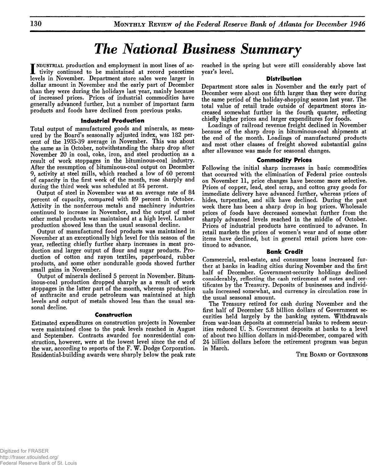# **The National Business Summary**

**I** NDUSTRIAL production and employment in most lines of ac**tivity continued to be maintained at record peacetime levels in November. Department store sales were larger in dollar amount in November and the early part of December than they were during the holidays last year, mainly because of increased prices. Prices of industrial commodities have generally advanced further, but a number of important farm products and foods have declined from previous peaks.**

#### **Industrial Production**

**Total output of manufactured goods and minerals, as measured by the Board's seasonally adjusted index, was 182 percent of the 1935-39 average in November. This was about the same as in October, notwithstanding the sharp drop after November 20 in coal, coke, iron, and steel production as a result of work stoppages in the bituminous-coal industry. After the resumption of bituminous-coal output on December 9, activity at steel mills, which reached a low of 60 percent of capacity in the first week of the month, rose sharply and during the third week was scheduled at 84 percent.**

**Output of steel in November was at an average rate of 84 percent of capacity, compared with 89 percent in October. Activity in the nonferrous metals and machinery industries continued to increase in November, and the output of most other metal products was maintained at a high level. Lumber production showed less than the usual seasonal decline.**

**Output of manufactured food products was maintained in November at an exceptionally high level for this season of the year, reflecting chiefly further sharp increases in meat production and larger output of flour and sugar products. Production of cotton and rayon textiles, paperboard, rubber products, and some other nondurable goods showed further small gains in November.**

**Output of minerals declined 5 percent in November. Bituminous-coal production dropped sharply as a result of work stoppages in the latter part of the month, whereas production of anthracite and crude petroleum was maintained at high levels and output of metals showed less than the usual seasonal decline.**

#### **Construction**

**Estimated expenditures on construction projects in November were maintained close to the peak levels reached in August and September. Contracts awarded for nonresidential construction, however, were at the lowest level since the end of the war, according to reports of the F. W. Dodge Corporation. Residential-building awards were sharply below the peak rate**

**reached in the spring but were still considerably above last year's level.**

#### **Distribution**

**Department store sales in November and the early part of December were about one fifth larger than they were during the same period of the holiday-shopping season last year. The total value of retail trade outside of department stores increased somewhat further in the fourth quarter, reflecting chiefly higher prices and larger expenditures for foods.**

**Loadings of railroad revenue freight declined in November because of the sharp drop in bituminous-coal shipments at the end of the month. Loadings of manufactured products and most other classes of freight showed substantial gains after allowance was made for seasonal changes.**

#### **Commodity Prices**

**Following the initial sharp increases in basic commodities that occurred with the elimination of Federal price controls on November 11, price changes have become more selective. Prices of copper, lead, steel scrap, and cotton gray goods for immediate delivery have advanced further, whereas prices of hides, turpentine, and silk have declined. During the past week there has been a sharp drop in hog prices. Wholesale prices of foods have decreased somewhat further from the sharply advanced levels reached in the middle of October. Prices of industrial products have continued to advance. In retail markets the prices of women's wear and of some other items have declined, but in general retail prices have continued to advance.**

#### **Bank Credit**

**Commercial, real-estate, and consumer loans increased further at banks in leading cities during November and the first half of December. Government-security holdings declined considerably, reflecting the cash retirement of notes and certificates by the Treasury. Deposits of businesses and individuals increased somewhat, and currency in circulation rose in the usual seasonal amount.**

**The Treasury retired for cash during November and the first half of December 5.8 billion dollars of Government securities held largely by the banking system. Withdrawals from war-loan deposits at commercial banks to redeem securities reduced U. S. Government deposits at banks to a level of about two billion dollars in mid-December, compared with 24 billion dollars before the retirement program was begun in March.**

**T h e Board of Governors**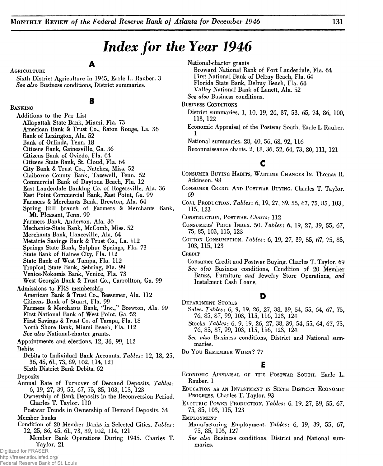# *Index for the Year 1946*

# **A**

**Sixth District Agriculture in 1945, Earle L. Rauber. 3** *See also* **Business conditions, District summaries.**

**B**

#### **Banking**

**Agriculture**

**Additions to the Par List Allapattah State Bank, Miami, Fla. 73 American Bank & Trust Co., Baton Rouge, La. 36 Bank of Lexington, Ala. 52 Bank of Orlinda, Tenn. 18 Citizens Bank, Gainesville, Ga. 36 Citizens Bank of Oviedo, Fla. 64 Citizens State Bank, St. Cloud, Fla. 64 City Bank & Trust Co., Natchez, Miss. 52 Claiborne County Bank, Tazewell, Tenn. 52 Commercial Bank of Daytona Beach, Fla. 12 East Lauderdale Banking Co. of Rogersville, Ala. 36 East Point Commercial Bank, East Point, Ga. 99 Farmers & Merchants Bank, Brewton, Ala. 64 Spring Hill branch of Farmers & Merchants Bank, Mt. Pleasant, Tenn. 99 Farmers Bank, Anderson, Ala. 36 Mechanics-State Bank, McComb, Miss. 52 Merchants Bank, Hanceville, Ala. 64 Metairie Savings Bank & Trust Co., La. 112 Springs State Bank, Sulphur Springs, Fla. 73 State Bank of Haines City, Fla. 112 State Bank of West Tampa, Fla. 112 Tropical State Bank, Sebring, Fla. 99 Venice-Nokomis Bank, Venice, Fla. 73 West Georgia Bank & Trust Co., Carrollton, Ga. 99 Admissions to FRS membership American Bank & Trust Co., Bessemer, Ala. 112 Citizens Bank of Stuart, Fla. 99 Farmers & Merchants Bank, "Inc.," Brewton, Ala. 99 First National Bank of West Point, Ga. 52 First Savings & Trust Co. of Tampa, Fla. 18 North Shore Bank, Miami Beach, Fla. 112** *See also* **National-charter grants. Appointments and elections. 12, 36, 99, 112 Debits Debits to Individual Bank Accounts.** *Tables***: 12, 18, 25, 36, 45, 61, 73, 89, 102,114, 121 Sixth District Bank Debits. 62 Deposits Annual Rate of Turnover of Demand Deposits.** *Tables***: 6, 19, 27, 39, 55, 67, 75, 85, 103, 115, 123 Ownership of Bank Deposits in the Reconversion Period. Charles T. Taylor. 110 Postwar Trends in Ownership of Demand Deposits. 34 Member banks Condition of 20 Member Banks in Selected Cities.** *Tables***: 12, 25, 36, 45, 61, 73, 89, 102, 114, 121 Member Bank Operations During 1945. Charles T. Taylor. 21**

**National-charter grants**

**Broward National Bank of Fort Lauderdale, Fla. 64 First National Bank of Delray Beach, Fla. 64 Florida State Bank, Delray Beach, Fla. 64 Valley National Bank of Lanett, Ala. 52**

*See also* **Business conditions.**

**Business Conditions**

- **District summaries. 1, 10, 19, 26, 37, 53, 65, 74, 86, 100, 113, 122**
- **Economic Appraisal of the Postwar South. Earle L Rauber. 1**

**National summaries. 28, 40, 56, 68, 92, 116**

**Reconnaissance charts. 2, 18, 36, 52, 64, 73, 80, 111, 121**

# **c**

- **Consumer Buying Habits, Wartime Changes In. Thomas R. Atkinson. 98**
- **Consumer Credit And Postwar Buying. Charles T. Taylor. 69**
- **Coal Production.** *Tables:* **6, 19, 27, 39, 55, 67, 75, 85,103, 115, 123**
- **Construction, Postwar.** *Charts:* **112**
- **Consumers' Price Index. 50.** *Tables:* **6, 19, 27, 39, 55, 67, 75, 85, 103, 115, 123**
- **Cotton Consumption.** *Tables:* **6, 19, 27, 39, 55, 67, 75, 85, 103, 115, 123**

**Credit**

**Consumer Credit and Postwar Buying. Charles T. Taylor. 69** *See also* **Business conditions, Condition of 20 Member Banks, Furniture** *and* **Jewelry Store Operations,** *and* **Instalment Cash Loans.**

#### **D**

- **Department Stores Sales.** *Tables:* **6, 9, 19, 26, 27, 38, 39, 54, 55, 64, 67, 75, 76, 85, 87, 99, 103, 115, 116, 123, 124**
	- **Stocks.** *Tables:* **6, 9, 19, 26, 27, 38, 39, 54, 55, 64, 67, 75, 76, 85, 87, 99, 103, 115, 116, 123, 124**
	- *See also* **Business conditions, District and National summaries.**
- **Do Y ou Remember Wh en ? 77**

# **E**

- **Economic Appraisal of the Postwar South. Earle L. Rauber. 1**
- **E ducation as an Investment in Sixth District E conomic Progress. Charles T. Taylor. 93**
- **E lectric Power Production.** *Tables:* **6, 19, 27, 39, 55, 67, 75, 85, 103, 115, 123**

**E mployment**

- **Manufacturing Employment.** *Tables:* **6, 19, 39, 55, 67, 75, 85, 103, 127**
- *See also* **Business conditions, District and National summaries.**

Digitized for FRASER http://fraser.stlouisfed.org/